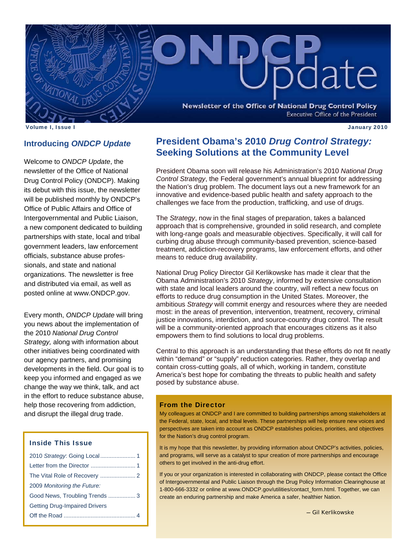

Volume I, Issue I January 2010

## **Introducing** *ONDCP Update*

Welcome to *ONDCP Update*, the newsletter of the Office of National Drug Control Policy (ONDCP). Making its debut with this issue, the newsletter will be published monthly by ONDCP's Office of Public Affairs and Office of Intergovernmental and Public Liaison, a new component dedicated to building partnerships with state, local and tribal government leaders, law enforcement officials, substance abuse professionals, and state and national organizations. The newsletter is free and distributed via email, as well as posted online at www.ONDCP.gov.

Every month, *ONDCP Update* will bring you news about the implementation of the 2010 *National Drug Control Strategy,* along with information about other initiatives being coordinated with our agency partners, and promising developments in the field. Our goal is to keep you informed and engaged as we change the way we think, talk, and act in the effort to reduce substance abuse, help those recovering from addiction, and disrupt the illegal drug trade.

## Inside This Issue

| 2009 Monitoring the Future:          |
|--------------------------------------|
| Good News, Troubling Trends 3        |
| <b>Getting Drug-Impaired Drivers</b> |
|                                      |
|                                      |

# **President Obama's 2010** *Drug Control Strategy:*  **Seeking Solutions at the Community Level**

President Obama soon will release his Administration's 2010 *National Drug Control Strategy*, the Federal government's annual blueprint for addressing the Nation's drug problem. The document lays out a new framework for an innovative and evidence-based public health and safety approach to the challenges we face from the production, trafficking, and use of drugs.

The *Strategy*, now in the final stages of preparation, takes a balanced approach that is comprehensive, grounded in solid research, and complete with long-range goals and measurable objectives. Specifically, it will call for curbing drug abuse through community-based prevention, science-based treatment, addiction-recovery programs, law enforcement efforts, and other means to reduce drug availability.

National Drug Policy Director Gil Kerlikowske has made it clear that the Obama Administration's 2010 *Strategy*, informed by extensive consultation with state and local leaders around the country, will reflect a new focus on efforts to reduce drug consumption in the United States. Moreover, the ambitious *Strategy* will commit energy and resources where they are needed most: in the areas of prevention, intervention, treatment, recovery, criminal justice innovations, interdiction, and source-country drug control. The result will be a community-oriented approach that encourages citizens as it also empowers them to find solutions to local drug problems.

Central to this approach is an understanding that these efforts do not fit neatly within "demand" or "supply" reduction categories. Rather, they overlap and contain cross-cutting goals, all of which, working in tandem, constitute America's best hope for combating the threats to public health and safety posed by substance abuse.

#### From the Director

My colleagues at ONDCP and I are committed to building partnerships among stakeholders at the Federal, state, local, and tribal levels. These partnerships will help ensure new voices and perspectives are taken into account as ONDCP establishes policies, priorities, and objectives for the Nation's drug control program.

It is my hope that this newsletter, by providing information about ONDCP's activities, policies, and programs, will serve as a catalyst to spur creation of more partnerships and encourage others to get involved in the anti-drug effort.

If you or your organization is interested in collaborating with ONDCP, please contact the Office of Intergovernmental and Public Liaison through the Drug Policy Information Clearinghouse at 1-800-666-3332 or online at www.ONDCP.gov/utilities/contact\_form.html. Together, we can create an enduring partnership and make America a safer, healthier Nation.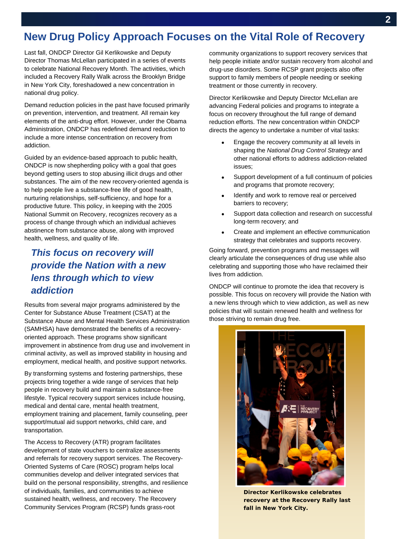## Ϊ **New Drug Policy Approach Focuses on the Vital Role of Recovery**

Last fall, ONDCP Director Gil Kerlikowske and Deputy Director Thomas McLellan participated in a series of events to celebrate National Recovery Month. The activities, which included a Recovery Rally Walk across the Brooklyn Bridge in New York City, foreshadowed a new concentration in national drug policy.

Demand reduction policies in the past have focused primarily on prevention, intervention, and treatment. All remain key elements of the anti-drug effort. However, under the Obama Administration, ONDCP has redefined demand reduction to include a more intense concentration on recovery from addiction.

Guided by an evidence-based approach to public health, ONDCP is now shepherding policy with a goal that goes beyond getting users to stop abusing illicit drugs and other substances. The aim of the new recovery-oriented agenda is to help people live a substance-free life of good health, nurturing relationships, self-sufficiency, and hope for a productive future. This policy, in keeping with the 2005 National Summit on Recovery, recognizes recovery as a process of change through which an individual achieves abstinence from substance abuse, along with improved health, wellness, and quality of life.

# *This focus on recovery will provide the Nation with a new lens through which to view addiction*

Results from several major programs administered by the Center for Substance Abuse Treatment (CSAT) at the Substance Abuse and Mental Health Services Administration (SAMHSA) have demonstrated the benefits of a recoveryoriented approach. These programs show significant improvement in abstinence from drug use and involvement in criminal activity, as well as improved stability in housing and employment, medical health, and positive support networks.

By transforming systems and fostering partnerships, these projects bring together a wide range of services that help people in recovery build and maintain a substance-free lifestyle. Typical recovery support services include housing, medical and dental care, mental health treatment, employment training and placement, family counseling, peer support/mutual aid support networks, child care, and transportation.

The Access to Recovery (ATR) program facilitates development of state vouchers to centralize assessments and referrals for recovery support services. The Recovery-Oriented Systems of Care (ROSC) program helps local communities develop and deliver integrated services that build on the personal responsibility, strengths, and resilience of individuals, families, and communities to achieve sustained health, wellness, and recovery. The Recovery Community Services Program (RCSP) funds grass-root

community organizations to support recovery services that help people initiate and/or sustain recovery from alcohol and drug-use disorders. Some RCSP grant projects also offer support to family members of people needing or seeking treatment or those currently in recovery.

Director Kerlikowske and Deputy Director McLellan are advancing Federal policies and programs to integrate a focus on recovery throughout the full range of demand reduction efforts. The new concentration within ONDCP directs the agency to undertake a number of vital tasks:

- Engage the recovery community at all levels in shaping the *National Drug Control Strategy* and other national efforts to address addiction-related issues;
- Support development of a full continuum of policies and programs that promote recovery;
- Identify and work to remove real or perceived barriers to recovery;
- Support data collection and research on successful long-term recovery; and
- Create and implement an effective communication strategy that celebrates and supports recovery.

Going forward, prevention programs and messages will clearly articulate the consequences of drug use while also celebrating and supporting those who have reclaimed their lives from addiction.

ONDCP will continue to promote the idea that recovery is possible. This focus on recovery will provide the Nation with a new lens through which to view addiction, as well as new policies that will sustain renewed health and wellness for those striving to remain drug free.



**Director Kerlikowske celebrates recovery at the Recovery Rally last fall in New York City.**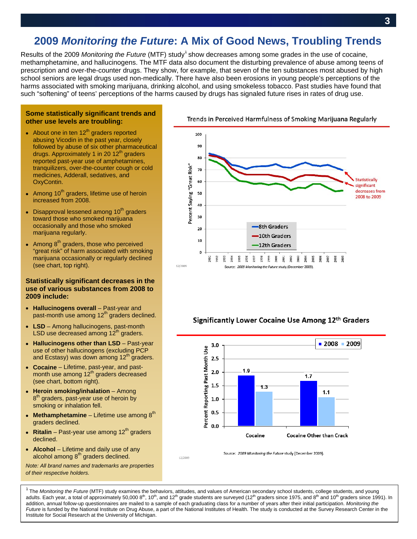# **2009** *Monitoring the Future***: A Mix of Good News, Troubling Trends**

Results of the 2009 Monitoring the Future (MTF) study<sup>1</sup> show decreases among some grades in the use of cocaine, methamphetamine, and hallucinogens. The MTF data also document the disturbing prevalence of abuse among teens of prescription and over-the-counter drugs. They show, for example, that seven of the ten substances most abused by high school seniors are legal drugs used non-medically. There have also been erosions in young people's perceptions of the harms associated with smoking marijuana, drinking alcohol, and using smokeless tobacco. Past studies have found that such "softening" of teens' perceptions of the harms caused by drugs has signaled future rises in rates of drug use.

#### **Some statistically significant trends and other use levels are troubling:**

- About one in ten  $12^{th}$  graders reported abusing Vicodin in the past year, closely followed by abuse of six other pharmaceutical drugs. Approximately 1 in 20  $12<sup>th</sup>$  graders reported past-year use of amphetamines, tranquilizers, over-the-counter cough or cold medicines, Adderall, sedatives, and OxyContin.
- Among  $10<sup>th</sup>$  graders, lifetime use of heroin increased from 2008.
- Disapproval lessened among  $10<sup>th</sup>$  graders toward those who smoked marijuana occasionally and those who smoked marijuana regularly.
- Among  $8<sup>th</sup>$  graders, those who perceived "great risk" of harm associated with smoking marijuana occasionally or regularly declined (see chart, top right).

#### **Statistically significant decreases in the use of various substances from 2008 to 2009 include:**

- **Hallucinogens overall** Past-year and past-month use among  $12<sup>th</sup>$  graders declined.
- **LSD**  Among hallucinogens, past-month LSD use decreased among  $12<sup>th</sup>$  graders.
- **Hallucinogens other than LSD**  Past-year use of other hallucinogens (excluding PCP and Ecstasy) was down among  $12<sup>th</sup>$  graders.
- **Cocaine**  Lifetime, past-year, and pastmonth use among 12<sup>th</sup> graders decreased (see chart, bottom right).
- **Heroin smoking/inhalation**  Among 8<sup>th</sup> graders, past-year use of heroin by smoking or inhalation fell.
- **Methamphetamine**  $-$  Lifetime use among  $8<sup>th</sup>$ graders declined.
- Ritalin Past-year use among  $12<sup>th</sup>$  graders declined.
- **Alcohol**  Lifetime and daily use of any alcohol among 8<sup>th</sup> graders declined.





#### Trends in Perceived Harmfulness of Smoking Marijuana Regularly



### Significantly Lower Cocaine Use Among 12th Graders



Source: 2009 Monitoring the Future study (December 2009)

 *Future* is funded by the National Institute on Drug Abuse, a part of the National Institutes of Health. The study is conducted at the Survey Research Center in the <sup>1</sup> The Monitoring the Future (MTF) study examines the behaviors, attitudes, and values of American secondary school students, college students, and young adults. Each year, a total of approximately 50,000  $8<sup>th</sup>$ , 10<sup>th</sup>, and 12<sup>th</sup> grade students are surveyed (12<sup>th</sup> graders since 1975, and 8<sup>th</sup> and 10<sup>th</sup> graders since 1991). In addition, annual follow-up questionnaires are mailed to a sample of each graduating class for a number of years after their initial participation. *Monitoring the*  Institute for Social Research at the University of Michigan.

12/2009